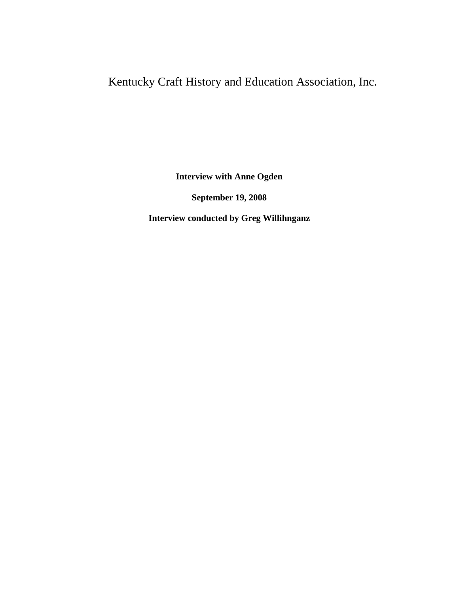# Kentucky Craft History and Education Association, Inc.

**Interview with Anne Ogden**

**September 19, 2008**

**Interview conducted by Greg Willihnganz**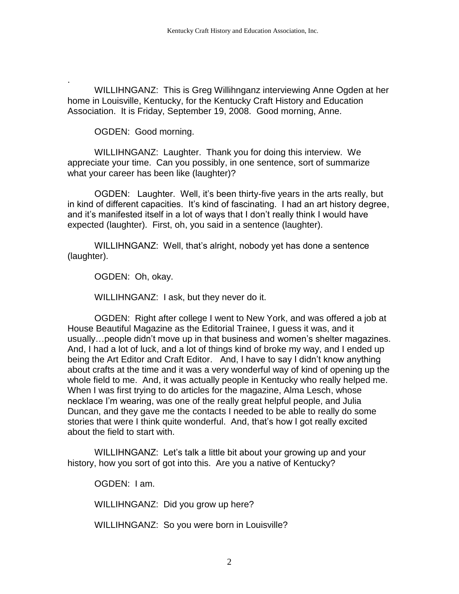. WILLIHNGANZ: This is Greg Willihnganz interviewing Anne Ogden at her home in Louisville, Kentucky, for the Kentucky Craft History and Education Association. It is Friday, September 19, 2008. Good morning, Anne.

OGDEN: Good morning.

WILLIHNGANZ: Laughter. Thank you for doing this interview. We appreciate your time. Can you possibly, in one sentence, sort of summarize what your career has been like (laughter)?

OGDEN: Laughter. Well, it's been thirty-five years in the arts really, but in kind of different capacities. It's kind of fascinating. I had an art history degree, and it's manifested itself in a lot of ways that I don't really think I would have expected (laughter). First, oh, you said in a sentence (laughter).

WILLIHNGANZ: Well, that's alright, nobody yet has done a sentence (laughter).

OGDEN: Oh, okay.

WILLIHNGANZ: I ask, but they never do it.

OGDEN: Right after college I went to New York, and was offered a job at House Beautiful Magazine as the Editorial Trainee, I guess it was, and it usually…people didn't move up in that business and women's shelter magazines. And, I had a lot of luck, and a lot of things kind of broke my way, and I ended up being the Art Editor and Craft Editor. And, I have to say I didn't know anything about crafts at the time and it was a very wonderful way of kind of opening up the whole field to me. And, it was actually people in Kentucky who really helped me. When I was first trying to do articles for the magazine, Alma Lesch, whose necklace I'm wearing, was one of the really great helpful people, and Julia Duncan, and they gave me the contacts I needed to be able to really do some stories that were I think quite wonderful. And, that's how I got really excited about the field to start with.

WILLIHNGANZ: Let's talk a little bit about your growing up and your history, how you sort of got into this. Are you a native of Kentucky?

OGDEN: I am.

WILLIHNGANZ: Did you grow up here?

WILLIHNGANZ: So you were born in Louisville?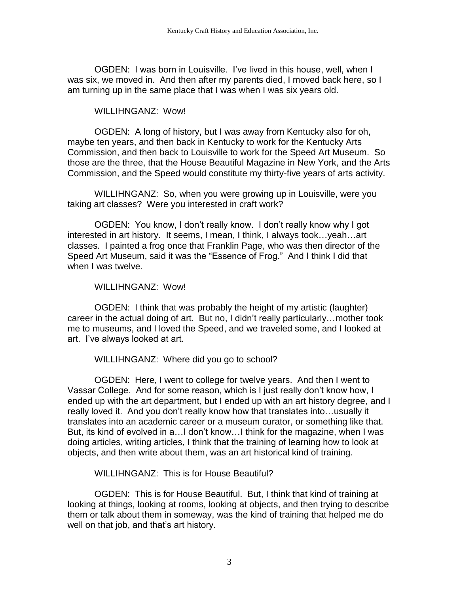OGDEN: I was born in Louisville. I've lived in this house, well, when I was six, we moved in. And then after my parents died, I moved back here, so I am turning up in the same place that I was when I was six years old.

#### WILLIHNGANZ: Wow!

OGDEN: A long of history, but I was away from Kentucky also for oh, maybe ten years, and then back in Kentucky to work for the Kentucky Arts Commission, and then back to Louisville to work for the Speed Art Museum. So those are the three, that the House Beautiful Magazine in New York, and the Arts Commission, and the Speed would constitute my thirty-five years of arts activity.

WILLIHNGANZ: So, when you were growing up in Louisville, were you taking art classes? Were you interested in craft work?

OGDEN: You know, I don't really know. I don't really know why I got interested in art history. It seems, I mean, I think, I always took…yeah…art classes. I painted a frog once that Franklin Page, who was then director of the Speed Art Museum, said it was the "Essence of Frog." And I think I did that when I was twelve.

## WILLIHNGANZ: Wow!

OGDEN: I think that was probably the height of my artistic (laughter) career in the actual doing of art. But no, I didn't really particularly…mother took me to museums, and I loved the Speed, and we traveled some, and I looked at art. I've always looked at art.

## WILLIHNGANZ: Where did you go to school?

OGDEN: Here, I went to college for twelve years. And then I went to Vassar College. And for some reason, which is I just really don't know how, I ended up with the art department, but I ended up with an art history degree, and I really loved it. And you don't really know how that translates into…usually it translates into an academic career or a museum curator, or something like that. But, its kind of evolved in a…I don't know…I think for the magazine, when I was doing articles, writing articles, I think that the training of learning how to look at objects, and then write about them, was an art historical kind of training.

WILLIHNGANZ: This is for House Beautiful?

OGDEN: This is for House Beautiful. But, I think that kind of training at looking at things, looking at rooms, looking at objects, and then trying to describe them or talk about them in someway, was the kind of training that helped me do well on that job, and that's art history.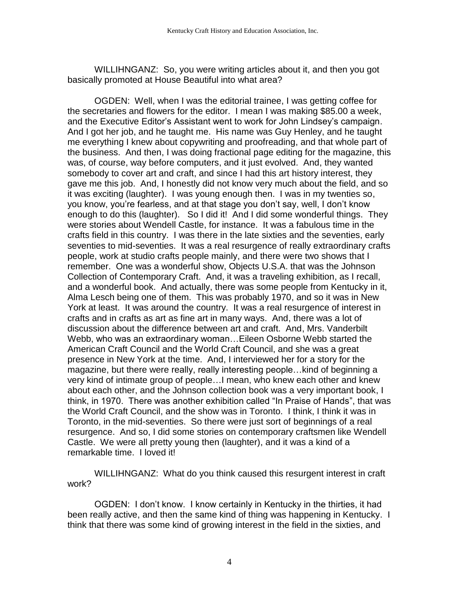WILLIHNGANZ: So, you were writing articles about it, and then you got basically promoted at House Beautiful into what area?

OGDEN: Well, when I was the editorial trainee, I was getting coffee for the secretaries and flowers for the editor. I mean I was making \$85.00 a week, and the Executive Editor's Assistant went to work for John Lindsey's campaign. And I got her job, and he taught me. His name was Guy Henley, and he taught me everything I knew about copywriting and proofreading, and that whole part of the business. And then, I was doing fractional page editing for the magazine, this was, of course, way before computers, and it just evolved. And, they wanted somebody to cover art and craft, and since I had this art history interest, they gave me this job. And, I honestly did not know very much about the field, and so it was exciting (laughter). I was young enough then. I was in my twenties so, you know, you're fearless, and at that stage you don't say, well, I don't know enough to do this (laughter). So I did it! And I did some wonderful things. They were stories about Wendell Castle, for instance. It was a fabulous time in the crafts field in this country. I was there in the late sixties and the seventies, early seventies to mid-seventies. It was a real resurgence of really extraordinary crafts people, work at studio crafts people mainly, and there were two shows that I remember. One was a wonderful show, Objects U.S.A. that was the Johnson Collection of Contemporary Craft. And, it was a traveling exhibition, as I recall, and a wonderful book. And actually, there was some people from Kentucky in it, Alma Lesch being one of them. This was probably 1970, and so it was in New York at least. It was around the country. It was a real resurgence of interest in crafts and in crafts as art as fine art in many ways. And, there was a lot of discussion about the difference between art and craft. And, Mrs. Vanderbilt Webb, who was an extraordinary woman…Eileen Osborne Webb started the American Craft Council and the World Craft Council, and she was a great presence in New York at the time. And, I interviewed her for a story for the magazine, but there were really, really interesting people…kind of beginning a very kind of intimate group of people…I mean, who knew each other and knew about each other, and the Johnson collection book was a very important book, I think, in 1970. There was another exhibition called "In Praise of Hands", that was the World Craft Council, and the show was in Toronto. I think, I think it was in Toronto, in the mid-seventies. So there were just sort of beginnings of a real resurgence. And so, I did some stories on contemporary craftsmen like Wendell Castle. We were all pretty young then (laughter), and it was a kind of a remarkable time. I loved it!

WILLIHNGANZ: What do you think caused this resurgent interest in craft work?

OGDEN: I don't know. I know certainly in Kentucky in the thirties, it had been really active, and then the same kind of thing was happening in Kentucky. I think that there was some kind of growing interest in the field in the sixties, and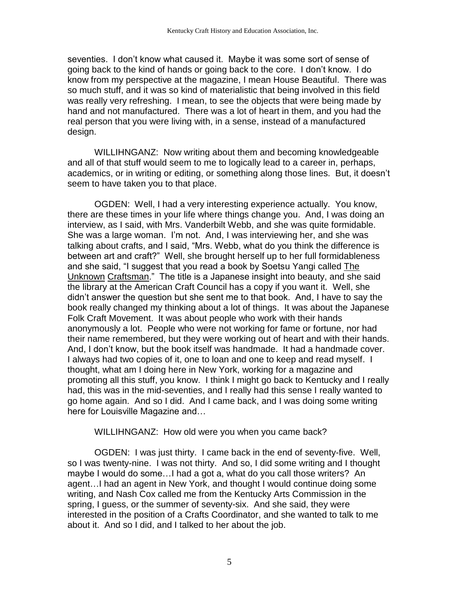seventies. I don't know what caused it. Maybe it was some sort of sense of going back to the kind of hands or going back to the core. I don't know. I do know from my perspective at the magazine, I mean House Beautiful. There was so much stuff, and it was so kind of materialistic that being involved in this field was really very refreshing. I mean, to see the objects that were being made by hand and not manufactured. There was a lot of heart in them, and you had the real person that you were living with, in a sense, instead of a manufactured design.

WILLIHNGANZ: Now writing about them and becoming knowledgeable and all of that stuff would seem to me to logically lead to a career in, perhaps, academics, or in writing or editing, or something along those lines. But, it doesn't seem to have taken you to that place.

OGDEN: Well, I had a very interesting experience actually. You know, there are these times in your life where things change you. And, I was doing an interview, as I said, with Mrs. Vanderbilt Webb, and she was quite formidable. She was a large woman. I'm not. And, I was interviewing her, and she was talking about crafts, and I said, "Mrs. Webb, what do you think the difference is between art and craft?" Well, she brought herself up to her full formidableness and she said, "I suggest that you read a book by Soetsu Yangi called The Unknown Craftsman." The title is a Japanese insight into beauty, and she said the library at the American Craft Council has a copy if you want it. Well, she didn't answer the question but she sent me to that book. And, I have to say the book really changed my thinking about a lot of things. It was about the Japanese Folk Craft Movement. It was about people who work with their hands anonymously a lot. People who were not working for fame or fortune, nor had their name remembered, but they were working out of heart and with their hands. And, I don't know, but the book itself was handmade. It had a handmade cover. I always had two copies of it, one to loan and one to keep and read myself. I thought, what am I doing here in New York, working for a magazine and promoting all this stuff, you know. I think I might go back to Kentucky and I really had, this was in the mid-seventies, and I really had this sense I really wanted to go home again. And so I did. And I came back, and I was doing some writing here for Louisville Magazine and…

#### WILLIHNGANZ: How old were you when you came back?

OGDEN: I was just thirty. I came back in the end of seventy-five. Well, so I was twenty-nine. I was not thirty. And so, I did some writing and I thought maybe I would do some…I had a got a, what do you call those writers? An agent…I had an agent in New York, and thought I would continue doing some writing, and Nash Cox called me from the Kentucky Arts Commission in the spring, I guess, or the summer of seventy-six. And she said, they were interested in the position of a Crafts Coordinator, and she wanted to talk to me about it. And so I did, and I talked to her about the job.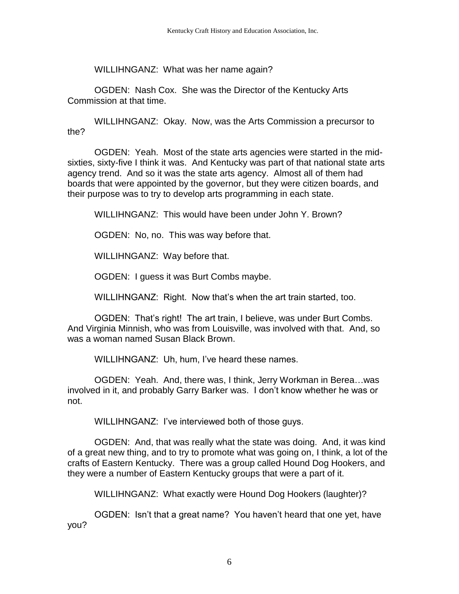WILLIHNGANZ: What was her name again?

OGDEN: Nash Cox. She was the Director of the Kentucky Arts Commission at that time.

WILLIHNGANZ: Okay. Now, was the Arts Commission a precursor to the?

OGDEN: Yeah. Most of the state arts agencies were started in the midsixties, sixty-five I think it was. And Kentucky was part of that national state arts agency trend. And so it was the state arts agency. Almost all of them had boards that were appointed by the governor, but they were citizen boards, and their purpose was to try to develop arts programming in each state.

WILLIHNGANZ: This would have been under John Y. Brown?

OGDEN: No, no. This was way before that.

WILLIHNGANZ: Way before that.

OGDEN: I guess it was Burt Combs maybe.

WILLIHNGANZ: Right. Now that's when the art train started, too.

OGDEN: That's right! The art train, I believe, was under Burt Combs. And Virginia Minnish, who was from Louisville, was involved with that. And, so was a woman named Susan Black Brown.

WILLIHNGANZ: Uh, hum, I've heard these names.

OGDEN: Yeah. And, there was, I think, Jerry Workman in Berea…was involved in it, and probably Garry Barker was. I don't know whether he was or not.

WILLIHNGANZ: I've interviewed both of those guys.

OGDEN: And, that was really what the state was doing. And, it was kind of a great new thing, and to try to promote what was going on, I think, a lot of the crafts of Eastern Kentucky. There was a group called Hound Dog Hookers, and they were a number of Eastern Kentucky groups that were a part of it.

WILLIHNGANZ: What exactly were Hound Dog Hookers (laughter)?

OGDEN: Isn't that a great name? You haven't heard that one yet, have you?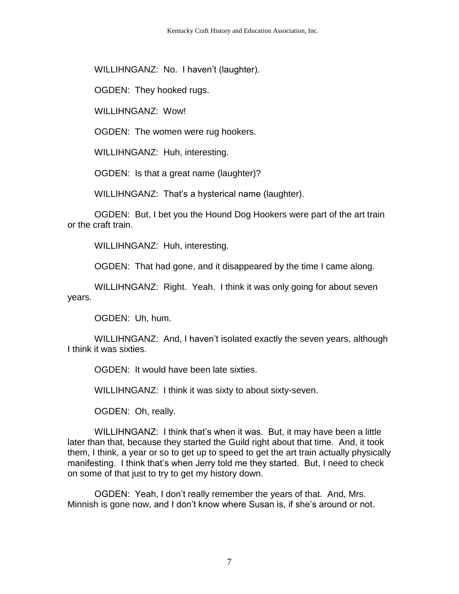WILLIHNGANZ: No. I haven't (laughter).

OGDEN: They hooked rugs.

WILLIHNGANZ: Wow!

OGDEN: The women were rug hookers.

WILLIHNGANZ: Huh, interesting.

OGDEN: Is that a great name (laughter)?

WILLIHNGANZ: That's a hysterical name (laughter).

OGDEN: But, I bet you the Hound Dog Hookers were part of the art train or the craft train.

WILLIHNGANZ: Huh, interesting.

OGDEN: That had gone, and it disappeared by the time I came along.

WILLIHNGANZ: Right. Yeah. I think it was only going for about seven years.

OGDEN: Uh, hum.

WILLIHNGANZ: And, I haven't isolated exactly the seven years, although I think it was sixties.

OGDEN: It would have been late sixties.

WILLIHNGANZ: I think it was sixty to about sixty-seven.

OGDEN: Oh, really.

WILLIHNGANZ: I think that's when it was. But, it may have been a little later than that, because they started the Guild right about that time. And, it took them, I think, a year or so to get up to speed to get the art train actually physically manifesting. I think that's when Jerry told me they started. But, I need to check on some of that just to try to get my history down.

OGDEN: Yeah, I don't really remember the years of that. And, Mrs. Minnish is gone now, and I don't know where Susan is, if she's around or not.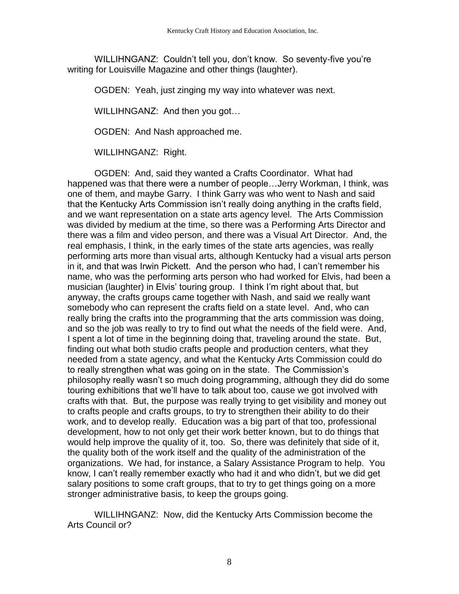WILLIHNGANZ: Couldn't tell you, don't know. So seventy-five you're writing for Louisville Magazine and other things (laughter).

OGDEN: Yeah, just zinging my way into whatever was next.

WILLIHNGANZ: And then you got...

OGDEN: And Nash approached me.

WILLIHNGANZ: Right.

OGDEN: And, said they wanted a Crafts Coordinator. What had happened was that there were a number of people…Jerry Workman, I think, was one of them, and maybe Garry. I think Garry was who went to Nash and said that the Kentucky Arts Commission isn't really doing anything in the crafts field, and we want representation on a state arts agency level. The Arts Commission was divided by medium at the time, so there was a Performing Arts Director and there was a film and video person, and there was a Visual Art Director. And, the real emphasis, I think, in the early times of the state arts agencies, was really performing arts more than visual arts, although Kentucky had a visual arts person in it, and that was Irwin Pickett. And the person who had, I can't remember his name, who was the performing arts person who had worked for Elvis, had been a musician (laughter) in Elvis' touring group. I think I'm right about that, but anyway, the crafts groups came together with Nash, and said we really want somebody who can represent the crafts field on a state level. And, who can really bring the crafts into the programming that the arts commission was doing, and so the job was really to try to find out what the needs of the field were. And, I spent a lot of time in the beginning doing that, traveling around the state. But, finding out what both studio crafts people and production centers, what they needed from a state agency, and what the Kentucky Arts Commission could do to really strengthen what was going on in the state. The Commission's philosophy really wasn't so much doing programming, although they did do some touring exhibitions that we'll have to talk about too, cause we got involved with crafts with that. But, the purpose was really trying to get visibility and money out to crafts people and crafts groups, to try to strengthen their ability to do their work, and to develop really. Education was a big part of that too, professional development, how to not only get their work better known, but to do things that would help improve the quality of it, too. So, there was definitely that side of it, the quality both of the work itself and the quality of the administration of the organizations. We had, for instance, a Salary Assistance Program to help. You know, I can't really remember exactly who had it and who didn't, but we did get salary positions to some craft groups, that to try to get things going on a more stronger administrative basis, to keep the groups going.

WILLIHNGANZ: Now, did the Kentucky Arts Commission become the Arts Council or?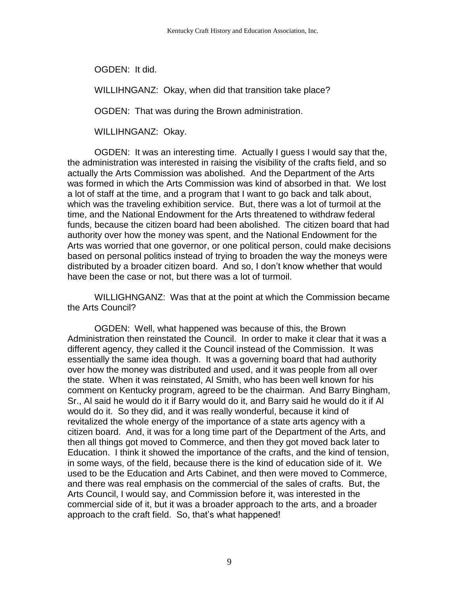OGDEN: It did.

WILLIHNGANZ: Okay, when did that transition take place?

OGDEN: That was during the Brown administration.

WILLIHNGANZ: Okay.

OGDEN: It was an interesting time. Actually I guess I would say that the, the administration was interested in raising the visibility of the crafts field, and so actually the Arts Commission was abolished. And the Department of the Arts was formed in which the Arts Commission was kind of absorbed in that. We lost a lot of staff at the time, and a program that I want to go back and talk about, which was the traveling exhibition service. But, there was a lot of turmoil at the time, and the National Endowment for the Arts threatened to withdraw federal funds, because the citizen board had been abolished. The citizen board that had authority over how the money was spent, and the National Endowment for the Arts was worried that one governor, or one political person, could make decisions based on personal politics instead of trying to broaden the way the moneys were distributed by a broader citizen board. And so, I don't know whether that would have been the case or not, but there was a lot of turmoil.

WILLIGHNGANZ: Was that at the point at which the Commission became the Arts Council?

OGDEN: Well, what happened was because of this, the Brown Administration then reinstated the Council. In order to make it clear that it was a different agency, they called it the Council instead of the Commission. It was essentially the same idea though. It was a governing board that had authority over how the money was distributed and used, and it was people from all over the state. When it was reinstated, Al Smith, who has been well known for his comment on Kentucky program, agreed to be the chairman. And Barry Bingham, Sr., Al said he would do it if Barry would do it, and Barry said he would do it if Al would do it. So they did, and it was really wonderful, because it kind of revitalized the whole energy of the importance of a state arts agency with a citizen board. And, it was for a long time part of the Department of the Arts, and then all things got moved to Commerce, and then they got moved back later to Education. I think it showed the importance of the crafts, and the kind of tension, in some ways, of the field, because there is the kind of education side of it. We used to be the Education and Arts Cabinet, and then were moved to Commerce, and there was real emphasis on the commercial of the sales of crafts. But, the Arts Council, I would say, and Commission before it, was interested in the commercial side of it, but it was a broader approach to the arts, and a broader approach to the craft field. So, that's what happened!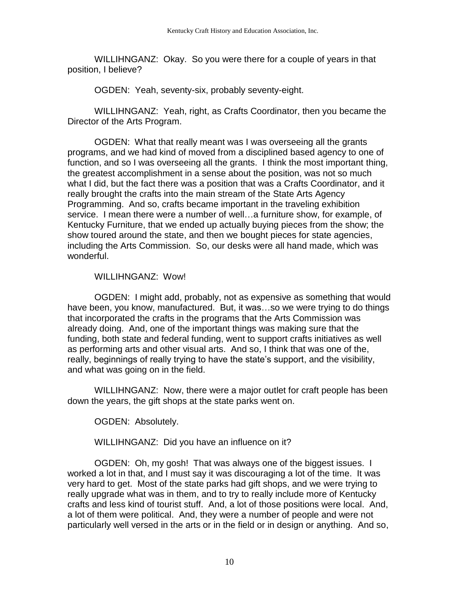WILLIHNGANZ: Okay. So you were there for a couple of years in that position, I believe?

OGDEN: Yeah, seventy-six, probably seventy-eight.

WILLIHNGANZ: Yeah, right, as Crafts Coordinator, then you became the Director of the Arts Program.

OGDEN: What that really meant was I was overseeing all the grants programs, and we had kind of moved from a disciplined based agency to one of function, and so I was overseeing all the grants. I think the most important thing, the greatest accomplishment in a sense about the position, was not so much what I did, but the fact there was a position that was a Crafts Coordinator, and it really brought the crafts into the main stream of the State Arts Agency Programming. And so, crafts became important in the traveling exhibition service. I mean there were a number of well…a furniture show, for example, of Kentucky Furniture, that we ended up actually buying pieces from the show; the show toured around the state, and then we bought pieces for state agencies, including the Arts Commission. So, our desks were all hand made, which was wonderful.

WILLIHNGANZ: Wow!

OGDEN: I might add, probably, not as expensive as something that would have been, you know, manufactured. But, it was…so we were trying to do things that incorporated the crafts in the programs that the Arts Commission was already doing. And, one of the important things was making sure that the funding, both state and federal funding, went to support crafts initiatives as well as performing arts and other visual arts. And so, I think that was one of the, really, beginnings of really trying to have the state's support, and the visibility, and what was going on in the field.

WILLIHNGANZ: Now, there were a major outlet for craft people has been down the years, the gift shops at the state parks went on.

OGDEN: Absolutely.

WILLIHNGANZ: Did you have an influence on it?

OGDEN: Oh, my gosh! That was always one of the biggest issues. I worked a lot in that, and I must say it was discouraging a lot of the time. It was very hard to get. Most of the state parks had gift shops, and we were trying to really upgrade what was in them, and to try to really include more of Kentucky crafts and less kind of tourist stuff. And, a lot of those positions were local. And, a lot of them were political. And, they were a number of people and were not particularly well versed in the arts or in the field or in design or anything. And so,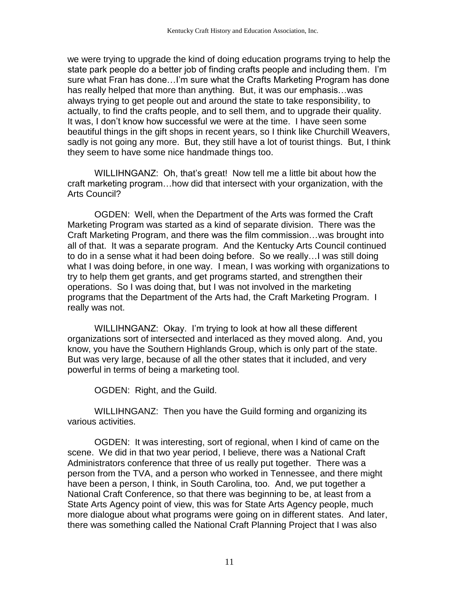we were trying to upgrade the kind of doing education programs trying to help the state park people do a better job of finding crafts people and including them. I'm sure what Fran has done…I'm sure what the Crafts Marketing Program has done has really helped that more than anything. But, it was our emphasis…was always trying to get people out and around the state to take responsibility, to actually, to find the crafts people, and to sell them, and to upgrade their quality. It was, I don't know how successful we were at the time. I have seen some beautiful things in the gift shops in recent years, so I think like Churchill Weavers, sadly is not going any more. But, they still have a lot of tourist things. But, I think they seem to have some nice handmade things too.

WILLIHNGANZ: Oh, that's great! Now tell me a little bit about how the craft marketing program…how did that intersect with your organization, with the Arts Council?

OGDEN: Well, when the Department of the Arts was formed the Craft Marketing Program was started as a kind of separate division. There was the Craft Marketing Program, and there was the film commission…was brought into all of that. It was a separate program. And the Kentucky Arts Council continued to do in a sense what it had been doing before. So we really…I was still doing what I was doing before, in one way. I mean, I was working with organizations to try to help them get grants, and get programs started, and strengthen their operations. So I was doing that, but I was not involved in the marketing programs that the Department of the Arts had, the Craft Marketing Program. I really was not.

WILLIHNGANZ: Okay. I'm trying to look at how all these different organizations sort of intersected and interlaced as they moved along. And, you know, you have the Southern Highlands Group, which is only part of the state. But was very large, because of all the other states that it included, and very powerful in terms of being a marketing tool.

OGDEN: Right, and the Guild.

WILLIHNGANZ: Then you have the Guild forming and organizing its various activities.

OGDEN: It was interesting, sort of regional, when I kind of came on the scene. We did in that two year period, I believe, there was a National Craft Administrators conference that three of us really put together. There was a person from the TVA, and a person who worked in Tennessee, and there might have been a person, I think, in South Carolina, too. And, we put together a National Craft Conference, so that there was beginning to be, at least from a State Arts Agency point of view, this was for State Arts Agency people, much more dialogue about what programs were going on in different states. And later, there was something called the National Craft Planning Project that I was also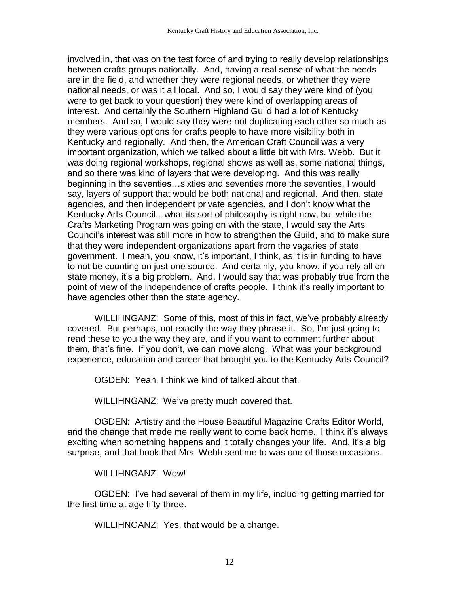involved in, that was on the test force of and trying to really develop relationships between crafts groups nationally. And, having a real sense of what the needs are in the field, and whether they were regional needs, or whether they were national needs, or was it all local. And so, I would say they were kind of (you were to get back to your question) they were kind of overlapping areas of interest. And certainly the Southern Highland Guild had a lot of Kentucky members. And so, I would say they were not duplicating each other so much as they were various options for crafts people to have more visibility both in Kentucky and regionally. And then, the American Craft Council was a very important organization, which we talked about a little bit with Mrs. Webb. But it was doing regional workshops, regional shows as well as, some national things, and so there was kind of layers that were developing. And this was really beginning in the seventies…sixties and seventies more the seventies, I would say, layers of support that would be both national and regional. And then, state agencies, and then independent private agencies, and I don't know what the Kentucky Arts Council…what its sort of philosophy is right now, but while the Crafts Marketing Program was going on with the state, I would say the Arts Council's interest was still more in how to strengthen the Guild, and to make sure that they were independent organizations apart from the vagaries of state government. I mean, you know, it's important, I think, as it is in funding to have to not be counting on just one source. And certainly, you know, if you rely all on state money, it's a big problem. And, I would say that was probably true from the point of view of the independence of crafts people. I think it's really important to have agencies other than the state agency.

WILLIHNGANZ: Some of this, most of this in fact, we've probably already covered. But perhaps, not exactly the way they phrase it. So, I'm just going to read these to you the way they are, and if you want to comment further about them, that's fine. If you don't, we can move along. What was your background experience, education and career that brought you to the Kentucky Arts Council?

OGDEN: Yeah, I think we kind of talked about that.

WILLIHNGANZ: We've pretty much covered that.

OGDEN: Artistry and the House Beautiful Magazine Crafts Editor World, and the change that made me really want to come back home. I think it's always exciting when something happens and it totally changes your life. And, it's a big surprise, and that book that Mrs. Webb sent me to was one of those occasions.

## WILLIHNGANZ: Wow!

OGDEN: I've had several of them in my life, including getting married for the first time at age fifty-three.

WILLIHNGANZ: Yes, that would be a change.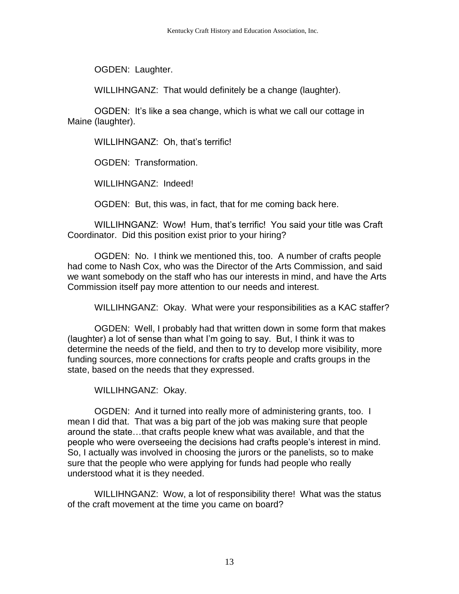OGDEN: Laughter.

WILLIHNGANZ: That would definitely be a change (laughter).

OGDEN: It's like a sea change, which is what we call our cottage in Maine (laughter).

WILLIHNGANZ: Oh, that's terrific!

OGDEN: Transformation.

WILLIHNGANZ: Indeed!

OGDEN: But, this was, in fact, that for me coming back here.

WILLIHNGANZ: Wow! Hum, that's terrific! You said your title was Craft Coordinator. Did this position exist prior to your hiring?

OGDEN: No. I think we mentioned this, too. A number of crafts people had come to Nash Cox, who was the Director of the Arts Commission, and said we want somebody on the staff who has our interests in mind, and have the Arts Commission itself pay more attention to our needs and interest.

WILLIHNGANZ: Okay. What were your responsibilities as a KAC staffer?

OGDEN: Well, I probably had that written down in some form that makes (laughter) a lot of sense than what I'm going to say. But, I think it was to determine the needs of the field, and then to try to develop more visibility, more funding sources, more connections for crafts people and crafts groups in the state, based on the needs that they expressed.

WILLIHNGANZ: Okay.

OGDEN: And it turned into really more of administering grants, too. I mean I did that. That was a big part of the job was making sure that people around the state…that crafts people knew what was available, and that the people who were overseeing the decisions had crafts people's interest in mind. So, I actually was involved in choosing the jurors or the panelists, so to make sure that the people who were applying for funds had people who really understood what it is they needed.

WILLIHNGANZ: Wow, a lot of responsibility there! What was the status of the craft movement at the time you came on board?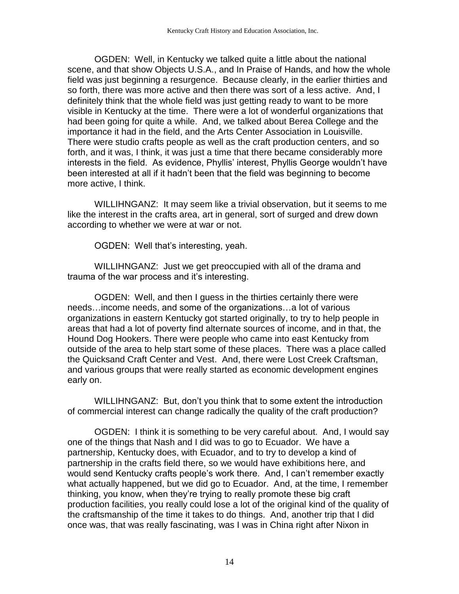OGDEN: Well, in Kentucky we talked quite a little about the national scene, and that show Objects U.S.A., and In Praise of Hands, and how the whole field was just beginning a resurgence. Because clearly, in the earlier thirties and so forth, there was more active and then there was sort of a less active. And, I definitely think that the whole field was just getting ready to want to be more visible in Kentucky at the time. There were a lot of wonderful organizations that had been going for quite a while. And, we talked about Berea College and the importance it had in the field, and the Arts Center Association in Louisville. There were studio crafts people as well as the craft production centers, and so forth, and it was, I think, it was just a time that there became considerably more interests in the field. As evidence, Phyllis' interest, Phyllis George wouldn't have been interested at all if it hadn't been that the field was beginning to become more active, I think.

WILLIHNGANZ: It may seem like a trivial observation, but it seems to me like the interest in the crafts area, art in general, sort of surged and drew down according to whether we were at war or not.

OGDEN: Well that's interesting, yeah.

WILLIHNGANZ: Just we get preoccupied with all of the drama and trauma of the war process and it's interesting.

OGDEN: Well, and then I guess in the thirties certainly there were needs…income needs, and some of the organizations…a lot of various organizations in eastern Kentucky got started originally, to try to help people in areas that had a lot of poverty find alternate sources of income, and in that, the Hound Dog Hookers. There were people who came into east Kentucky from outside of the area to help start some of these places. There was a place called the Quicksand Craft Center and Vest. And, there were Lost Creek Craftsman, and various groups that were really started as economic development engines early on.

WILLIHNGANZ: But, don't you think that to some extent the introduction of commercial interest can change radically the quality of the craft production?

OGDEN: I think it is something to be very careful about. And, I would say one of the things that Nash and I did was to go to Ecuador. We have a partnership, Kentucky does, with Ecuador, and to try to develop a kind of partnership in the crafts field there, so we would have exhibitions here, and would send Kentucky crafts people's work there. And, I can't remember exactly what actually happened, but we did go to Ecuador. And, at the time, I remember thinking, you know, when they're trying to really promote these big craft production facilities, you really could lose a lot of the original kind of the quality of the craftsmanship of the time it takes to do things. And, another trip that I did once was, that was really fascinating, was I was in China right after Nixon in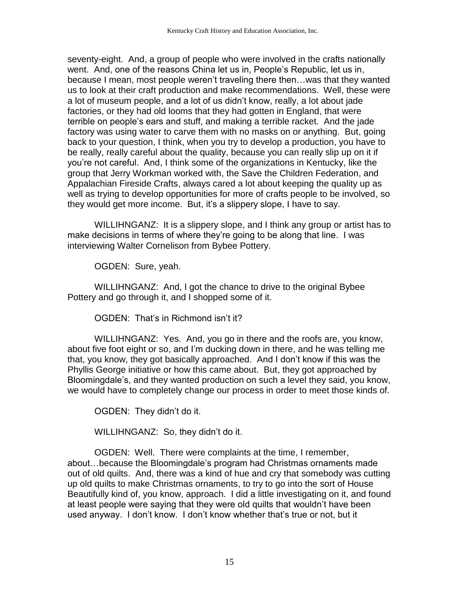seventy-eight. And, a group of people who were involved in the crafts nationally went. And, one of the reasons China let us in, People's Republic, let us in, because I mean, most people weren't traveling there then…was that they wanted us to look at their craft production and make recommendations. Well, these were a lot of museum people, and a lot of us didn't know, really, a lot about jade factories, or they had old looms that they had gotten in England, that were terrible on people's ears and stuff, and making a terrible racket. And the jade factory was using water to carve them with no masks on or anything. But, going back to your question, I think, when you try to develop a production, you have to be really, really careful about the quality, because you can really slip up on it if you're not careful. And, I think some of the organizations in Kentucky, like the group that Jerry Workman worked with, the Save the Children Federation, and Appalachian Fireside Crafts, always cared a lot about keeping the quality up as well as trying to develop opportunities for more of crafts people to be involved, so they would get more income. But, it's a slippery slope, I have to say.

WILLIHNGANZ: It is a slippery slope, and I think any group or artist has to make decisions in terms of where they're going to be along that line. I was interviewing Walter Cornelison from Bybee Pottery.

OGDEN: Sure, yeah.

WILLIHNGANZ: And, I got the chance to drive to the original Bybee Pottery and go through it, and I shopped some of it.

OGDEN: That's in Richmond isn't it?

WILLIHNGANZ: Yes. And, you go in there and the roofs are, you know, about five foot eight or so, and I'm ducking down in there, and he was telling me that, you know, they got basically approached. And I don't know if this was the Phyllis George initiative or how this came about. But, they got approached by Bloomingdale's, and they wanted production on such a level they said, you know, we would have to completely change our process in order to meet those kinds of.

OGDEN: They didn't do it.

WILLIHNGANZ: So, they didn't do it.

OGDEN: Well. There were complaints at the time, I remember, about…because the Bloomingdale's program had Christmas ornaments made out of old quilts. And, there was a kind of hue and cry that somebody was cutting up old quilts to make Christmas ornaments, to try to go into the sort of House Beautifully kind of, you know, approach. I did a little investigating on it, and found at least people were saying that they were old quilts that wouldn't have been used anyway. I don't know. I don't know whether that's true or not, but it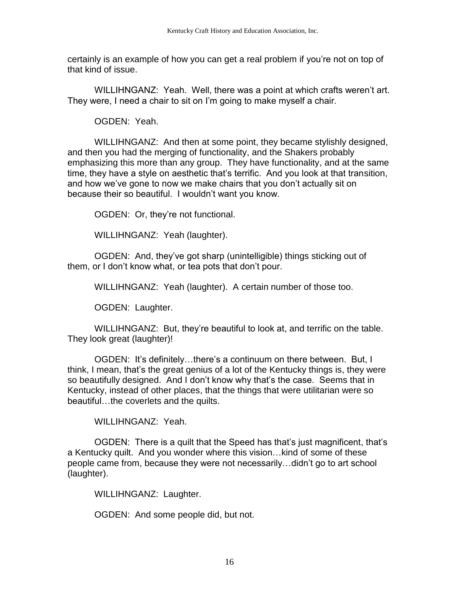certainly is an example of how you can get a real problem if you're not on top of that kind of issue.

WILLIHNGANZ: Yeah. Well, there was a point at which crafts weren't art. They were, I need a chair to sit on I'm going to make myself a chair.

OGDEN: Yeah.

WILLIHNGANZ: And then at some point, they became stylishly designed, and then you had the merging of functionality, and the Shakers probably emphasizing this more than any group. They have functionality, and at the same time, they have a style on aesthetic that's terrific. And you look at that transition, and how we've gone to now we make chairs that you don't actually sit on because their so beautiful. I wouldn't want you know.

OGDEN: Or, they're not functional.

WILLIHNGANZ: Yeah (laughter).

OGDEN: And, they've got sharp (unintelligible) things sticking out of them, or I don't know what, or tea pots that don't pour.

WILLIHNGANZ: Yeah (laughter). A certain number of those too.

OGDEN: Laughter.

WILLIHNGANZ: But, they're beautiful to look at, and terrific on the table. They look great (laughter)!

OGDEN: It's definitely…there's a continuum on there between. But, I think, I mean, that's the great genius of a lot of the Kentucky things is, they were so beautifully designed. And I don't know why that's the case. Seems that in Kentucky, instead of other places, that the things that were utilitarian were so beautiful…the coverlets and the quilts.

WILLIHNGANZ: Yeah.

OGDEN: There is a quilt that the Speed has that's just magnificent, that's a Kentucky quilt. And you wonder where this vision…kind of some of these people came from, because they were not necessarily…didn't go to art school (laughter).

WILLIHNGANZ: Laughter.

OGDEN: And some people did, but not.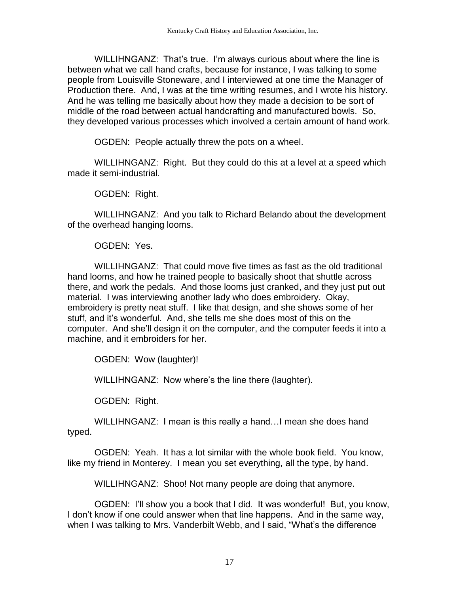WILLIHNGANZ: That's true. I'm always curious about where the line is between what we call hand crafts, because for instance, I was talking to some people from Louisville Stoneware, and I interviewed at one time the Manager of Production there. And, I was at the time writing resumes, and I wrote his history. And he was telling me basically about how they made a decision to be sort of middle of the road between actual handcrafting and manufactured bowls. So, they developed various processes which involved a certain amount of hand work.

OGDEN: People actually threw the pots on a wheel.

WILLIHNGANZ: Right. But they could do this at a level at a speed which made it semi-industrial.

OGDEN: Right.

WILLIHNGANZ: And you talk to Richard Belando about the development of the overhead hanging looms.

OGDEN: Yes.

WILLIHNGANZ: That could move five times as fast as the old traditional hand looms, and how he trained people to basically shoot that shuttle across there, and work the pedals. And those looms just cranked, and they just put out material. I was interviewing another lady who does embroidery. Okay, embroidery is pretty neat stuff. I like that design, and she shows some of her stuff, and it's wonderful. And, she tells me she does most of this on the computer. And she'll design it on the computer, and the computer feeds it into a machine, and it embroiders for her.

OGDEN: Wow (laughter)!

WILLIHNGANZ: Now where's the line there (laughter).

OGDEN: Right.

WILLIHNGANZ: I mean is this really a hand…I mean she does hand typed.

OGDEN: Yeah. It has a lot similar with the whole book field. You know, like my friend in Monterey. I mean you set everything, all the type, by hand.

WILLIHNGANZ: Shoo! Not many people are doing that anymore.

OGDEN: I'll show you a book that I did. It was wonderful! But, you know, I don't know if one could answer when that line happens. And in the same way, when I was talking to Mrs. Vanderbilt Webb, and I said, "What's the difference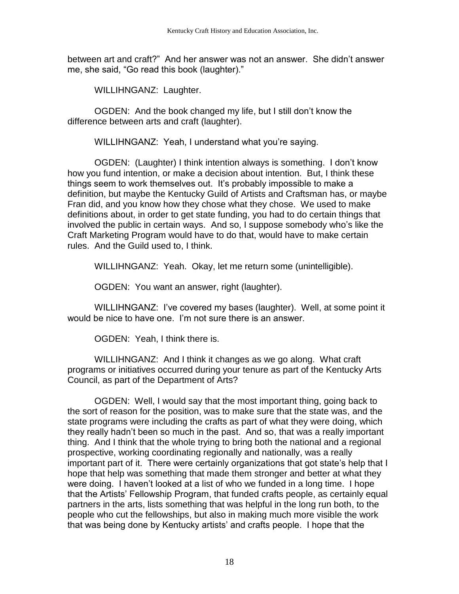between art and craft?" And her answer was not an answer. She didn't answer me, she said, "Go read this book (laughter)."

WILLIHNGANZ: Laughter.

OGDEN: And the book changed my life, but I still don't know the difference between arts and craft (laughter).

WILLIHNGANZ: Yeah, I understand what you're saying.

OGDEN: (Laughter) I think intention always is something. I don't know how you fund intention, or make a decision about intention. But, I think these things seem to work themselves out. It's probably impossible to make a definition, but maybe the Kentucky Guild of Artists and Craftsman has, or maybe Fran did, and you know how they chose what they chose. We used to make definitions about, in order to get state funding, you had to do certain things that involved the public in certain ways. And so, I suppose somebody who's like the Craft Marketing Program would have to do that, would have to make certain rules. And the Guild used to, I think.

WILLIHNGANZ: Yeah. Okay, let me return some (unintelligible).

OGDEN: You want an answer, right (laughter).

WILLIHNGANZ: I've covered my bases (laughter). Well, at some point it would be nice to have one. I'm not sure there is an answer.

OGDEN: Yeah, I think there is.

WILLIHNGANZ: And I think it changes as we go along. What craft programs or initiatives occurred during your tenure as part of the Kentucky Arts Council, as part of the Department of Arts?

OGDEN: Well, I would say that the most important thing, going back to the sort of reason for the position, was to make sure that the state was, and the state programs were including the crafts as part of what they were doing, which they really hadn't been so much in the past. And so, that was a really important thing. And I think that the whole trying to bring both the national and a regional prospective, working coordinating regionally and nationally, was a really important part of it. There were certainly organizations that got state's help that I hope that help was something that made them stronger and better at what they were doing. I haven't looked at a list of who we funded in a long time. I hope that the Artists' Fellowship Program, that funded crafts people, as certainly equal partners in the arts, lists something that was helpful in the long run both, to the people who cut the fellowships, but also in making much more visible the work that was being done by Kentucky artists' and crafts people. I hope that the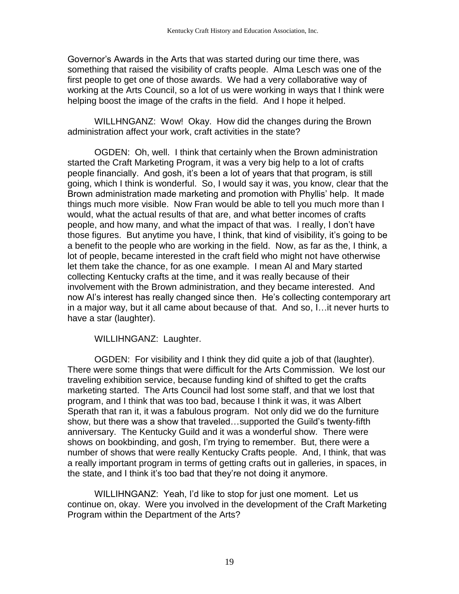Governor's Awards in the Arts that was started during our time there, was something that raised the visibility of crafts people. Alma Lesch was one of the first people to get one of those awards. We had a very collaborative way of working at the Arts Council, so a lot of us were working in ways that I think were helping boost the image of the crafts in the field. And I hope it helped.

WILLHNGANZ: Wow! Okay. How did the changes during the Brown administration affect your work, craft activities in the state?

OGDEN: Oh, well. I think that certainly when the Brown administration started the Craft Marketing Program, it was a very big help to a lot of crafts people financially. And gosh, it's been a lot of years that that program, is still going, which I think is wonderful. So, I would say it was, you know, clear that the Brown administration made marketing and promotion with Phyllis' help. It made things much more visible. Now Fran would be able to tell you much more than I would, what the actual results of that are, and what better incomes of crafts people, and how many, and what the impact of that was. I really, I don't have those figures. But anytime you have, I think, that kind of visibility, it's going to be a benefit to the people who are working in the field. Now, as far as the, I think, a lot of people, became interested in the craft field who might not have otherwise let them take the chance, for as one example. I mean Al and Mary started collecting Kentucky crafts at the time, and it was really because of their involvement with the Brown administration, and they became interested. And now Al's interest has really changed since then. He's collecting contemporary art in a major way, but it all came about because of that. And so, I…it never hurts to have a star (laughter).

WILLIHNGANZ: Laughter.

OGDEN: For visibility and I think they did quite a job of that (laughter). There were some things that were difficult for the Arts Commission. We lost our traveling exhibition service, because funding kind of shifted to get the crafts marketing started. The Arts Council had lost some staff, and that we lost that program, and I think that was too bad, because I think it was, it was Albert Sperath that ran it, it was a fabulous program. Not only did we do the furniture show, but there was a show that traveled…supported the Guild's twenty-fifth anniversary. The Kentucky Guild and it was a wonderful show. There were shows on bookbinding, and gosh, I'm trying to remember. But, there were a number of shows that were really Kentucky Crafts people. And, I think, that was a really important program in terms of getting crafts out in galleries, in spaces, in the state, and I think it's too bad that they're not doing it anymore.

WILLIHNGANZ: Yeah, I'd like to stop for just one moment. Let us continue on, okay. Were you involved in the development of the Craft Marketing Program within the Department of the Arts?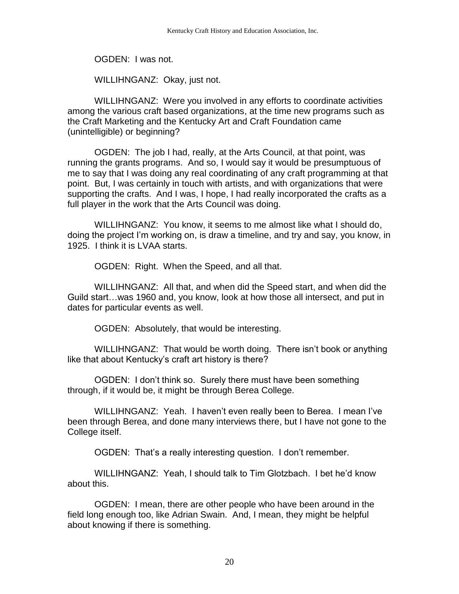OGDEN: I was not.

WILLIHNGANZ: Okay, just not.

WILLIHNGANZ: Were you involved in any efforts to coordinate activities among the various craft based organizations, at the time new programs such as the Craft Marketing and the Kentucky Art and Craft Foundation came (unintelligible) or beginning?

OGDEN: The job I had, really, at the Arts Council, at that point, was running the grants programs. And so, I would say it would be presumptuous of me to say that I was doing any real coordinating of any craft programming at that point. But, I was certainly in touch with artists, and with organizations that were supporting the crafts. And I was, I hope, I had really incorporated the crafts as a full player in the work that the Arts Council was doing.

WILLIHNGANZ: You know, it seems to me almost like what I should do, doing the project I'm working on, is draw a timeline, and try and say, you know, in 1925. I think it is LVAA starts.

OGDEN: Right. When the Speed, and all that.

WILLIHNGANZ: All that, and when did the Speed start, and when did the Guild start…was 1960 and, you know, look at how those all intersect, and put in dates for particular events as well.

OGDEN: Absolutely, that would be interesting.

WILLIHNGANZ: That would be worth doing. There isn't book or anything like that about Kentucky's craft art history is there?

OGDEN: I don't think so. Surely there must have been something through, if it would be, it might be through Berea College.

WILLIHNGANZ: Yeah. I haven't even really been to Berea. I mean I've been through Berea, and done many interviews there, but I have not gone to the College itself.

OGDEN: That's a really interesting question. I don't remember.

WILLIHNGANZ: Yeah, I should talk to Tim Glotzbach. I bet he'd know about this.

OGDEN: I mean, there are other people who have been around in the field long enough too, like Adrian Swain. And, I mean, they might be helpful about knowing if there is something.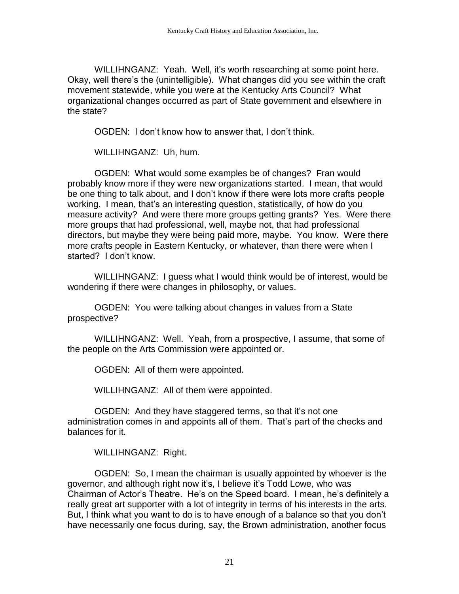WILLIHNGANZ: Yeah. Well, it's worth researching at some point here. Okay, well there's the (unintelligible). What changes did you see within the craft movement statewide, while you were at the Kentucky Arts Council? What organizational changes occurred as part of State government and elsewhere in the state?

OGDEN: I don't know how to answer that, I don't think.

WILLIHNGANZ: Uh, hum.

OGDEN: What would some examples be of changes? Fran would probably know more if they were new organizations started. I mean, that would be one thing to talk about, and I don't know if there were lots more crafts people working. I mean, that's an interesting question, statistically, of how do you measure activity? And were there more groups getting grants? Yes. Were there more groups that had professional, well, maybe not, that had professional directors, but maybe they were being paid more, maybe. You know. Were there more crafts people in Eastern Kentucky, or whatever, than there were when I started? I don't know.

WILLIHNGANZ: I guess what I would think would be of interest, would be wondering if there were changes in philosophy, or values.

OGDEN: You were talking about changes in values from a State prospective?

WILLIHNGANZ: Well. Yeah, from a prospective, I assume, that some of the people on the Arts Commission were appointed or.

OGDEN: All of them were appointed.

WILLIHNGANZ: All of them were appointed.

OGDEN: And they have staggered terms, so that it's not one administration comes in and appoints all of them. That's part of the checks and balances for it.

WILLIHNGANZ: Right.

OGDEN: So, I mean the chairman is usually appointed by whoever is the governor, and although right now it's, I believe it's Todd Lowe, who was Chairman of Actor's Theatre. He's on the Speed board. I mean, he's definitely a really great art supporter with a lot of integrity in terms of his interests in the arts. But, I think what you want to do is to have enough of a balance so that you don't have necessarily one focus during, say, the Brown administration, another focus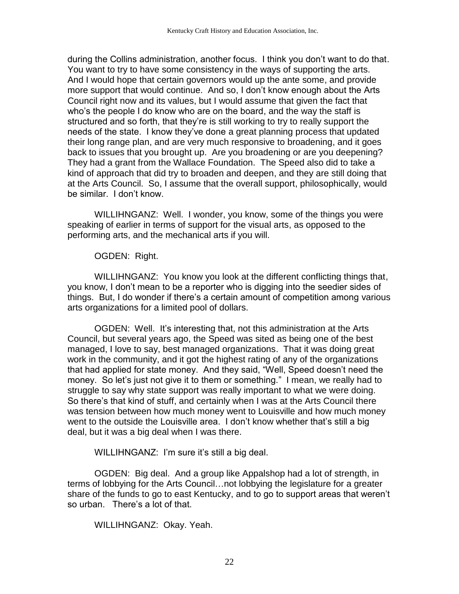during the Collins administration, another focus. I think you don't want to do that. You want to try to have some consistency in the ways of supporting the arts. And I would hope that certain governors would up the ante some, and provide more support that would continue. And so, I don't know enough about the Arts Council right now and its values, but I would assume that given the fact that who's the people I do know who are on the board, and the way the staff is structured and so forth, that they're is still working to try to really support the needs of the state. I know they've done a great planning process that updated their long range plan, and are very much responsive to broadening, and it goes back to issues that you brought up. Are you broadening or are you deepening? They had a grant from the Wallace Foundation. The Speed also did to take a kind of approach that did try to broaden and deepen, and they are still doing that at the Arts Council. So, I assume that the overall support, philosophically, would be similar. I don't know.

WILLIHNGANZ: Well. I wonder, you know, some of the things you were speaking of earlier in terms of support for the visual arts, as opposed to the performing arts, and the mechanical arts if you will.

OGDEN: Right.

WILLIHNGANZ: You know you look at the different conflicting things that, you know, I don't mean to be a reporter who is digging into the seedier sides of things. But, I do wonder if there's a certain amount of competition among various arts organizations for a limited pool of dollars.

OGDEN: Well. It's interesting that, not this administration at the Arts Council, but several years ago, the Speed was sited as being one of the best managed, I love to say, best managed organizations. That it was doing great work in the community, and it got the highest rating of any of the organizations that had applied for state money. And they said, "Well, Speed doesn't need the money. So let's just not give it to them or something." I mean, we really had to struggle to say why state support was really important to what we were doing. So there's that kind of stuff, and certainly when I was at the Arts Council there was tension between how much money went to Louisville and how much money went to the outside the Louisville area. I don't know whether that's still a big deal, but it was a big deal when I was there.

WILLIHNGANZ: I'm sure it's still a big deal.

OGDEN: Big deal. And a group like Appalshop had a lot of strength, in terms of lobbying for the Arts Council…not lobbying the legislature for a greater share of the funds to go to east Kentucky, and to go to support areas that weren't so urban. There's a lot of that.

WILLIHNGANZ: Okay. Yeah.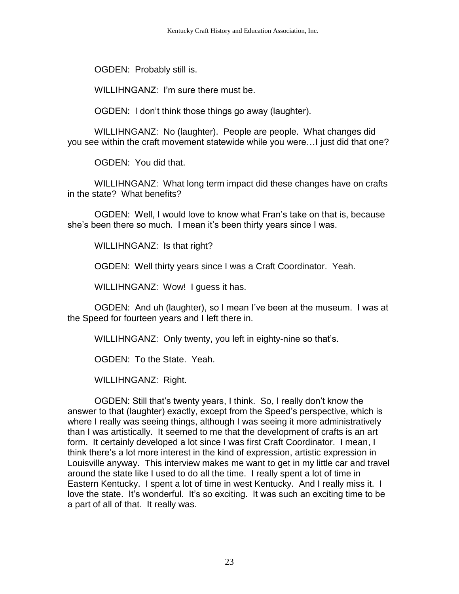OGDEN: Probably still is.

WILLIHNGANZ: I'm sure there must be.

OGDEN: I don't think those things go away (laughter).

WILLIHNGANZ: No (laughter). People are people. What changes did you see within the craft movement statewide while you were…I just did that one?

OGDEN: You did that.

WILLIHNGANZ: What long term impact did these changes have on crafts in the state? What benefits?

OGDEN: Well, I would love to know what Fran's take on that is, because she's been there so much. I mean it's been thirty years since I was.

WILLIHNGANZ: Is that right?

OGDEN: Well thirty years since I was a Craft Coordinator. Yeah.

WILLIHNGANZ: Wow! I guess it has.

OGDEN: And uh (laughter), so I mean I've been at the museum. I was at the Speed for fourteen years and I left there in.

WILLIHNGANZ: Only twenty, you left in eighty-nine so that's.

OGDEN: To the State. Yeah.

WILLIHNGANZ: Right.

OGDEN: Still that's twenty years, I think. So, I really don't know the answer to that (laughter) exactly, except from the Speed's perspective, which is where I really was seeing things, although I was seeing it more administratively than I was artistically. It seemed to me that the development of crafts is an art form. It certainly developed a lot since I was first Craft Coordinator. I mean, I think there's a lot more interest in the kind of expression, artistic expression in Louisville anyway. This interview makes me want to get in my little car and travel around the state like I used to do all the time. I really spent a lot of time in Eastern Kentucky. I spent a lot of time in west Kentucky. And I really miss it. I love the state. It's wonderful. It's so exciting. It was such an exciting time to be a part of all of that. It really was.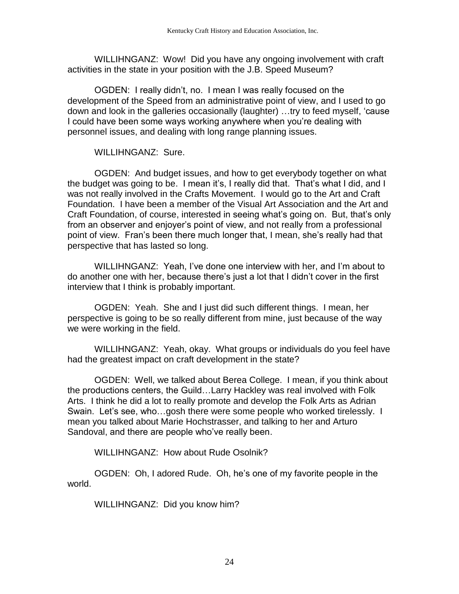WILLIHNGANZ: Wow! Did you have any ongoing involvement with craft activities in the state in your position with the J.B. Speed Museum?

OGDEN: I really didn't, no. I mean I was really focused on the development of the Speed from an administrative point of view, and I used to go down and look in the galleries occasionally (laughter) …try to feed myself, 'cause I could have been some ways working anywhere when you're dealing with personnel issues, and dealing with long range planning issues.

WILLIHNGANZ: Sure.

OGDEN: And budget issues, and how to get everybody together on what the budget was going to be. I mean it's, I really did that. That's what I did, and I was not really involved in the Crafts Movement. I would go to the Art and Craft Foundation. I have been a member of the Visual Art Association and the Art and Craft Foundation, of course, interested in seeing what's going on. But, that's only from an observer and enjoyer's point of view, and not really from a professional point of view. Fran's been there much longer that, I mean, she's really had that perspective that has lasted so long.

WILLIHNGANZ: Yeah, I've done one interview with her, and I'm about to do another one with her, because there's just a lot that I didn't cover in the first interview that I think is probably important.

OGDEN: Yeah. She and I just did such different things. I mean, her perspective is going to be so really different from mine, just because of the way we were working in the field.

WILLIHNGANZ: Yeah, okay. What groups or individuals do you feel have had the greatest impact on craft development in the state?

OGDEN: Well, we talked about Berea College. I mean, if you think about the productions centers, the Guild…Larry Hackley was real involved with Folk Arts. I think he did a lot to really promote and develop the Folk Arts as Adrian Swain. Let's see, who…gosh there were some people who worked tirelessly. I mean you talked about Marie Hochstrasser, and talking to her and Arturo Sandoval, and there are people who've really been.

WILLIHNGANZ: How about Rude Osolnik?

OGDEN: Oh, I adored Rude. Oh, he's one of my favorite people in the world.

WILLIHNGANZ: Did you know him?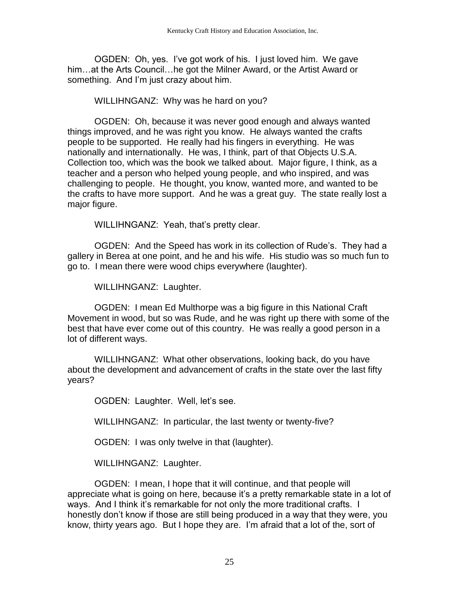OGDEN: Oh, yes. I've got work of his. I just loved him. We gave him…at the Arts Council…he got the Milner Award, or the Artist Award or something. And I'm just crazy about him.

WILLIHNGANZ: Why was he hard on you?

OGDEN: Oh, because it was never good enough and always wanted things improved, and he was right you know. He always wanted the crafts people to be supported. He really had his fingers in everything. He was nationally and internationally. He was, I think, part of that Objects U.S.A. Collection too, which was the book we talked about. Major figure, I think, as a teacher and a person who helped young people, and who inspired, and was challenging to people. He thought, you know, wanted more, and wanted to be the crafts to have more support. And he was a great guy. The state really lost a major figure.

WILLIHNGANZ: Yeah, that's pretty clear.

OGDEN: And the Speed has work in its collection of Rude's. They had a gallery in Berea at one point, and he and his wife. His studio was so much fun to go to. I mean there were wood chips everywhere (laughter).

WILLIHNGANZ: Laughter.

OGDEN: I mean Ed Multhorpe was a big figure in this National Craft Movement in wood, but so was Rude, and he was right up there with some of the best that have ever come out of this country. He was really a good person in a lot of different ways.

WILLIHNGANZ: What other observations, looking back, do you have about the development and advancement of crafts in the state over the last fifty years?

OGDEN: Laughter. Well, let's see.

WILLIHNGANZ: In particular, the last twenty or twenty-five?

OGDEN: I was only twelve in that (laughter).

WILLIHNGANZ: Laughter.

OGDEN: I mean, I hope that it will continue, and that people will appreciate what is going on here, because it's a pretty remarkable state in a lot of ways. And I think it's remarkable for not only the more traditional crafts. I honestly don't know if those are still being produced in a way that they were, you know, thirty years ago. But I hope they are. I'm afraid that a lot of the, sort of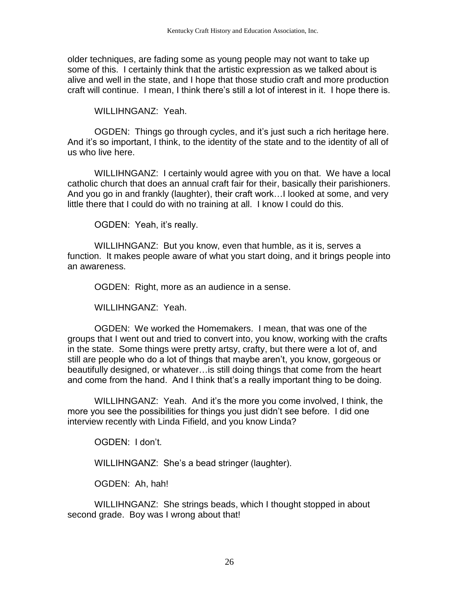older techniques, are fading some as young people may not want to take up some of this. I certainly think that the artistic expression as we talked about is alive and well in the state, and I hope that those studio craft and more production craft will continue. I mean, I think there's still a lot of interest in it. I hope there is.

WILLIHNGANZ: Yeah.

OGDEN: Things go through cycles, and it's just such a rich heritage here. And it's so important, I think, to the identity of the state and to the identity of all of us who live here.

WILLIHNGANZ: I certainly would agree with you on that. We have a local catholic church that does an annual craft fair for their, basically their parishioners. And you go in and frankly (laughter), their craft work…I looked at some, and very little there that I could do with no training at all. I know I could do this.

OGDEN: Yeah, it's really.

WILLIHNGANZ: But you know, even that humble, as it is, serves a function. It makes people aware of what you start doing, and it brings people into an awareness.

OGDEN: Right, more as an audience in a sense.

WILLIHNGANZ: Yeah.

OGDEN: We worked the Homemakers. I mean, that was one of the groups that I went out and tried to convert into, you know, working with the crafts in the state. Some things were pretty artsy, crafty, but there were a lot of, and still are people who do a lot of things that maybe aren't, you know, gorgeous or beautifully designed, or whatever…is still doing things that come from the heart and come from the hand. And I think that's a really important thing to be doing.

WILLIHNGANZ: Yeah. And it's the more you come involved, I think, the more you see the possibilities for things you just didn't see before. I did one interview recently with Linda Fifield, and you know Linda?

OGDEN: I don't.

WILLIHNGANZ: She's a bead stringer (laughter).

OGDEN: Ah, hah!

WILLIHNGANZ: She strings beads, which I thought stopped in about second grade. Boy was I wrong about that!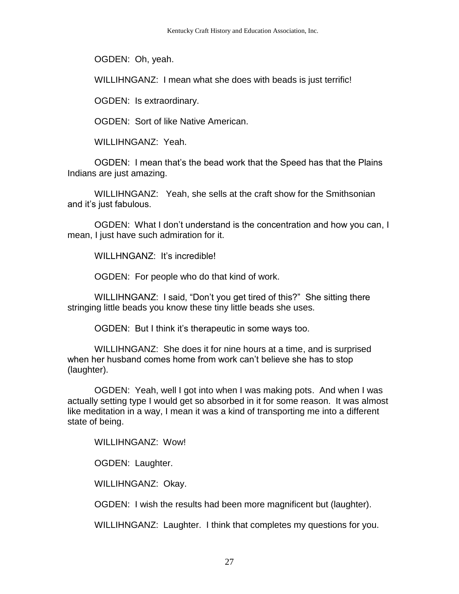OGDEN: Oh, yeah.

WILLIHNGANZ: I mean what she does with beads is just terrific!

OGDEN: Is extraordinary.

OGDEN: Sort of like Native American.

WILLIHNGANZ: Yeah.

OGDEN: I mean that's the bead work that the Speed has that the Plains Indians are just amazing.

WILLIHNGANZ: Yeah, she sells at the craft show for the Smithsonian and it's just fabulous.

OGDEN: What I don't understand is the concentration and how you can, I mean, I just have such admiration for it.

WILLHNGANZ: It's incredible!

OGDEN: For people who do that kind of work.

WILLIHNGANZ: I said, "Don't you get tired of this?" She sitting there stringing little beads you know these tiny little beads she uses.

OGDEN: But I think it's therapeutic in some ways too.

WILLIHNGANZ: She does it for nine hours at a time, and is surprised when her husband comes home from work can't believe she has to stop (laughter).

OGDEN: Yeah, well I got into when I was making pots. And when I was actually setting type I would get so absorbed in it for some reason. It was almost like meditation in a way, I mean it was a kind of transporting me into a different state of being.

WILLIHNGANZ: Wow!

OGDEN: Laughter.

WILLIHNGANZ: Okay.

OGDEN: I wish the results had been more magnificent but (laughter).

WILLIHNGANZ: Laughter. I think that completes my questions for you.